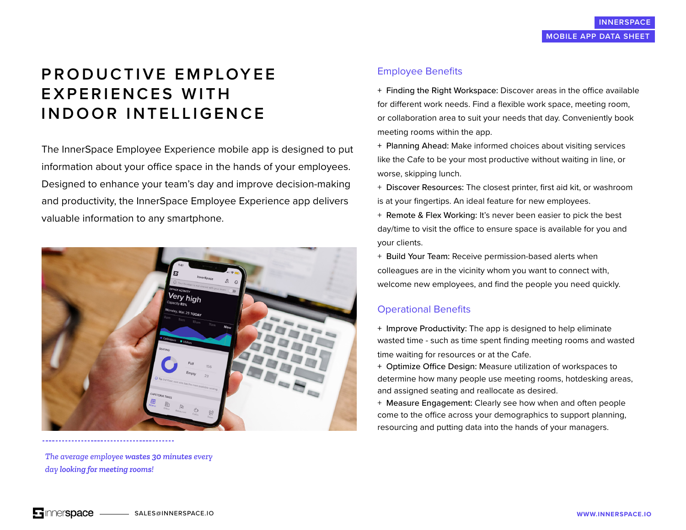# **P R O D U C T I V E E M P LOY E E EXPERIENCES WITH INDOOR INTELLIGENCE**

The InnerSpace Employee Experience mobile app is designed to put information about your office space in the hands of your employees. Designed to enhance your team's day and improve decision-making and productivity, the InnerSpace Employee Experience app delivers valuable information to any smartphone.



*The average employee wastes 30 minutes every day looking for meeting rooms!*

## Employee Benefits

+ Finding the Right Workspace: Discover areas in the office available for different work needs. Find a flexible work space, meeting room, or collaboration area to suit your needs that day. Conveniently book meeting rooms within the app.

+ Planning Ahead: Make informed choices about visiting services like the Cafe to be your most productive without waiting in line, or worse, skipping lunch.

+ Discover Resources: The closest printer, first aid kit, or washroom is at your fingertips. An ideal feature for new employees.

+ Remote & Flex Working: It's never been easier to pick the best day/time to visit the office to ensure space is available for you and your clients.

+ Build Your Team: Receive permission-based alerts when colleagues are in the vicinity whom you want to connect with, welcome new employees, and find the people you need quickly.

#### Operational Benefits

+ Improve Productivity: The app is designed to help eliminate wasted time - such as time spent finding meeting rooms and wasted time waiting for resources or at the Cafe.

+ Optimize Office Design: Measure utilization of workspaces to determine how many people use meeting rooms, hotdesking areas, and assigned seating and reallocate as desired.

+ Measure Engagement: Clearly see how when and often people come to the office across your demographics to support planning, resourcing and putting data into the hands of your managers.